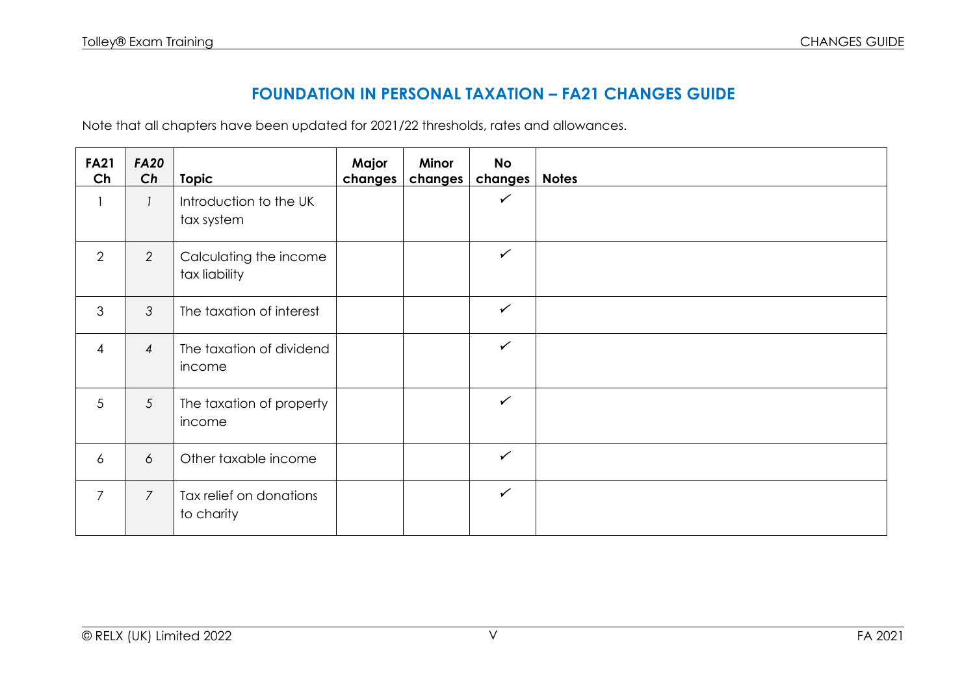## **FOUNDATION IN PERSONAL TAXATION – FA21 CHANGES GUIDE**

Note that all chapters have been updated for 2021/22 thresholds, rates and allowances.

| <b>FA21</b><br>Ch | <b>FA20</b><br>Ch | <b>Topic</b>                            | Major<br>changes | Minor<br>changes | <b>No</b><br>changes | <b>Notes</b> |
|-------------------|-------------------|-----------------------------------------|------------------|------------------|----------------------|--------------|
|                   | $\mathcal{I}$     | Introduction to the UK<br>tax system    |                  |                  | $\checkmark$         |              |
| 2                 | $\overline{2}$    | Calculating the income<br>tax liability |                  |                  | $\checkmark$         |              |
| 3                 | $\mathcal{S}$     | The taxation of interest                |                  |                  | $\checkmark$         |              |
| $\overline{4}$    | $\overline{4}$    | The taxation of dividend<br>income      |                  |                  | $\checkmark$         |              |
| 5                 | $\overline{5}$    | The taxation of property<br>income      |                  |                  | $\checkmark$         |              |
| $\overline{6}$    | 6                 | Other taxable income                    |                  |                  | $\checkmark$         |              |
| $\overline{7}$    | $\overline{7}$    | Tax relief on donations<br>to charity   |                  |                  | $\checkmark$         |              |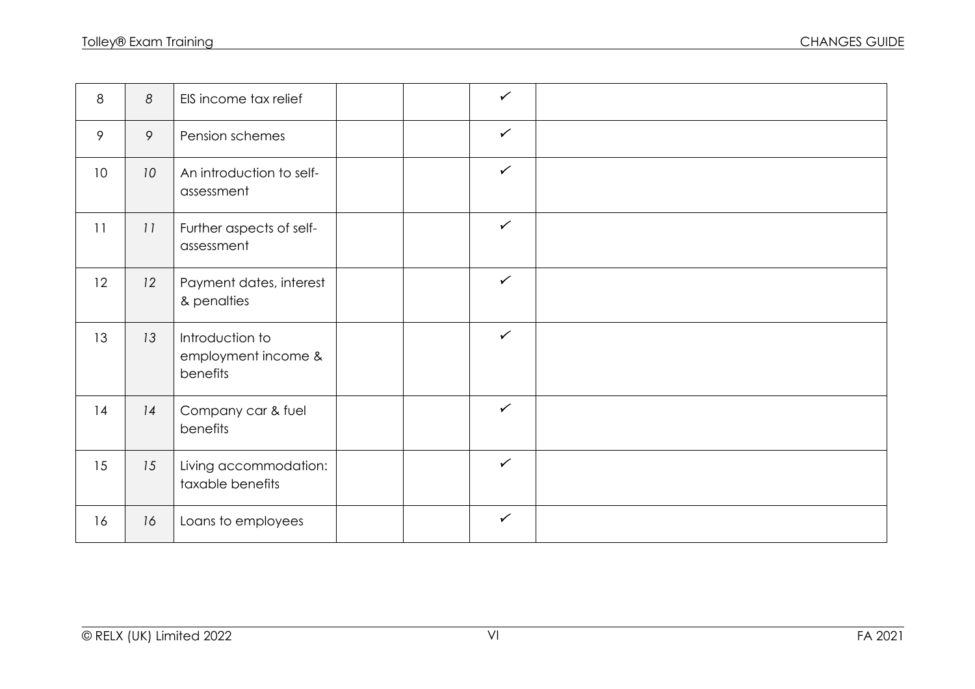| 8               | 8               | EIS income tax relief                              | $\checkmark$ |  |
|-----------------|-----------------|----------------------------------------------------|--------------|--|
| 9               | 9               | Pension schemes                                    | $\checkmark$ |  |
| 10 <sup>°</sup> | 10 <sup>°</sup> | An introduction to self-<br>assessment             | $\checkmark$ |  |
| 11              | 11              | Further aspects of self-<br>assessment             | $\checkmark$ |  |
| 12              | 12              | Payment dates, interest<br>& penalties             | $\checkmark$ |  |
| 13              | 13              | Introduction to<br>employment income &<br>benefits | $\checkmark$ |  |
| 14              | 14              | Company car & fuel<br>benefits                     | $\checkmark$ |  |
| 15              | 15              | Living accommodation:<br>taxable benefits          | $\checkmark$ |  |
| 16              | 16              | Loans to employees                                 | $\checkmark$ |  |